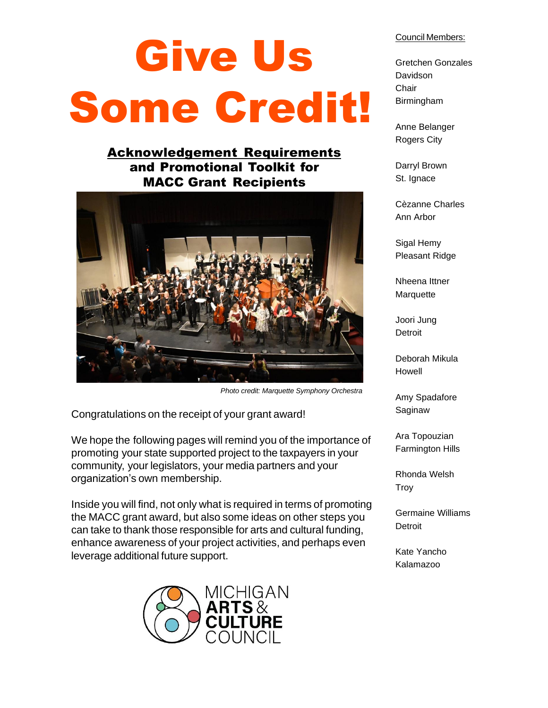# Give Us Some Credit!

## Acknowledgement Requirements and Promotional Toolkit for MACC Grant Recipients



 *Photo credit: Marquette Symphony Orchestra*

Congratulations on the receipt of your grant award!

We hope the following pages will remind you of the importance of promoting your state supported project to the taxpayers in your community, your legislators, your media partners and your organization's own membership.

Inside you will find, not only what is required in terms of promoting the MACC grant award, but also some ideas on other steps you can take to thank those responsible for arts and cultural funding, enhance awareness of your project activities, and perhaps even leverage additional future support.



#### Council Members:

Gretchen Gonzales Davidson Chair Birmingham

Anne Belanger Rogers City

Darryl Brown St. Ignace

Cèzanne Charles Ann Arbor

Sigal Hemy Pleasant Ridge

Nheena Ittner **Marquette** 

Joori Jung **Detroit** 

Deborah Mikula Howell

Amy Spadafore Saginaw

Ara Topouzian Farmington Hills

Rhonda Welsh **Troy** 

Germaine Williams **Detroit** 

Kate Yancho Kalamazoo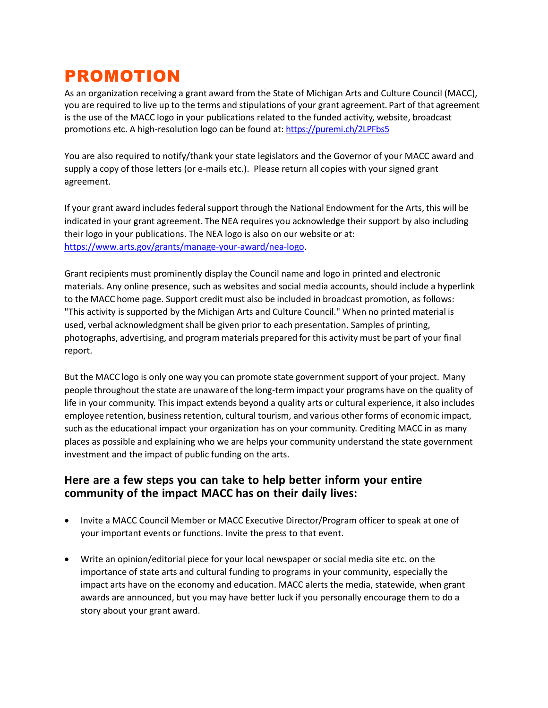# PROMOTION

As an organization receiving a grant award from the State of Michigan Arts and Culture Council (MACC), you are required to live up to the terms and stipulations of your grant agreement. Part of that agreement is the use of the MACC logo in your publications related to the funded activity, website, broadcast promotions etc. A high-resolution logo can be found at: <https://puremi.ch/2LPFbs5>

You are also required to notify/thank your state legislators and the Governor of your MACC award and supply a copy of those letters (or e-mails etc.). Please return all copies with your signed grant agreement.

If your grant award includes federal support through the National Endowment for the Arts, this will be indicated in your grant agreement. The NEA requires you acknowledge their support by also including their logo in your publications. The NEA logo is also on our website or at: [https://www.arts.gov/grants/manage-your-award/nea-logo.](https://www.arts.gov/grants/manage-your-award/nea-logo)

Grant recipients must prominently display the Council name and logo in printed and electronic materials. Any online presence, such as websites and social media accounts, should include a hyperlink to the MACC home page. Support credit must also be included in broadcast promotion, as follows: "This activity is supported by the Michigan Arts and Culture Council." When no printed material is used, verbal acknowledgment shall be given prior to each presentation. Samples of printing, photographs, advertising, and programmaterials prepared for this activity must be part of your final report.

But the MACC logo is only one way you can promote state government support of your project. Many people throughout the state are unaware of the long-term impact your programs have on the quality of life in your community. This impact extends beyond a quality arts or cultural experience, it also includes employee retention, business retention, cultural tourism, and various other forms of economic impact, such as the educational impact your organization has on your community. Crediting MACC in as many places as possible and explaining who we are helps your community understand the state government investment and the impact of public funding on the arts.

#### **Here are a few steps you can take to help better inform your entire community of the impact MACC has on their daily lives:**

- Invite a MACC Council Member or MACC Executive Director/Program officer to speak at one of your important events or functions. Invite the press to that event.
- Write an opinion/editorial piece for your local newspaper or social media site etc. on the importance of state arts and cultural funding to programs in your community, especially the impact arts have on the economy and education. MACC alerts the media, statewide, when grant awards are announced, but you may have better luck if you personally encourage them to do a story about your grant award.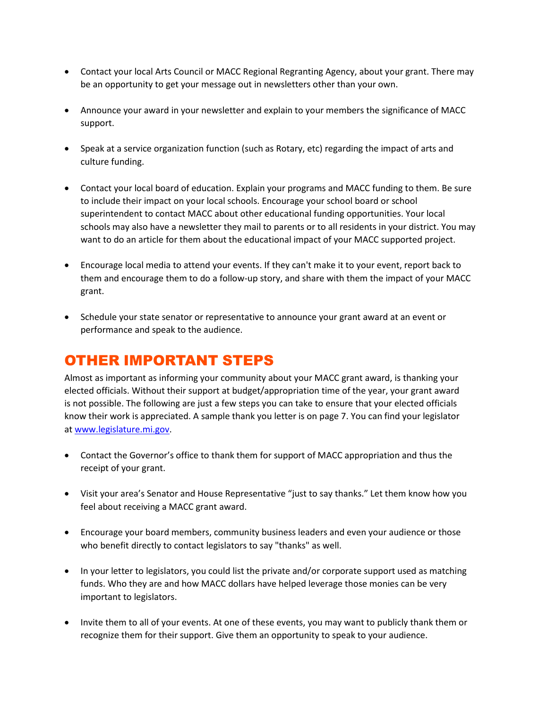- Contact your local Arts Council or MACC Regional Regranting Agency, about your grant. There may be an opportunity to get your message out in newsletters other than your own.
- Announce your award in your newsletter and explain to your members the significance of MACC support.
- Speak at a service organization function (such as Rotary, etc) regarding the impact of arts and culture funding.
- Contact your local board of education. Explain your programs and MACC funding to them. Be sure to include their impact on your local schools. Encourage your school board or school superintendent to contact MACC about other educational funding opportunities. Your local schools may also have a newsletter they mail to parents or to all residents in your district. You may want to do an article for them about the educational impact of your MACC supported project.
- Encourage local media to attend your events. If they can't make it to your event, report back to them and encourage them to do a follow-up story, and share with them the impact of your MACC grant.
- Schedule your state senator or representative to announce your grant award at an event or performance and speak to the audience.

# OTHER IMPORTANT STEPS

Almost as important as informing your community about your MACC grant award, is thanking your elected officials. Without their support at budget/appropriation time of the year, your grant award is not possible. The following are just a few steps you can take to ensure that your elected officials know their work is appreciated. A sample thank you letter is on page 7. You can find your legislator a[t www.legislature.mi.gov.](http://www.legislature.mi.gov/)

- Contact the Governor's office to thank them for support of MACC appropriation and thus the receipt of your grant.
- Visit your area's Senator and House Representative "just to say thanks." Let them know how you feel about receiving a MACC grant award.
- Encourage your board members, community business leaders and even your audience or those who benefit directly to contact legislators to say "thanks" as well.
- In your letter to legislators, you could list the private and/or corporate support used as matching funds. Who they are and how MACC dollars have helped leverage those monies can be very important to legislators.
- Invite them to all of your events. At one of these events, you may want to publicly thank them or recognize them for their support. Give them an opportunity to speak to your audience.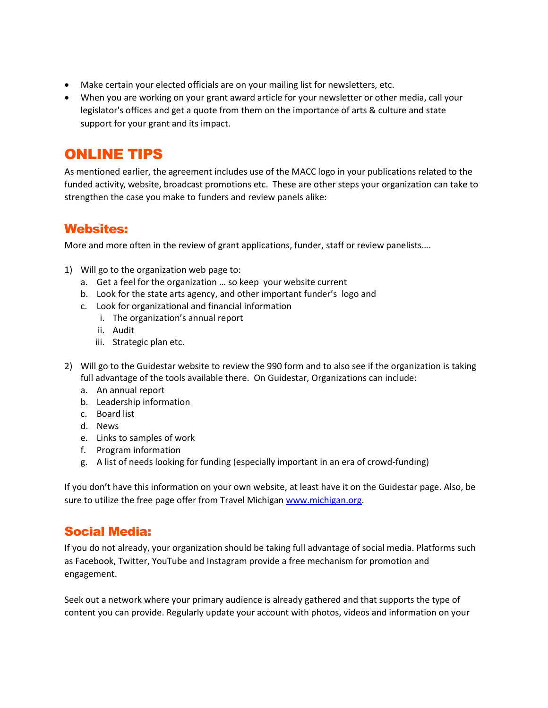- Make certain your elected officials are on your mailing list for newsletters, etc.
- When you are working on your grant award article for your newsletter or other media, call your legislator's offices and get a quote from them on the importance of arts & culture and state support for your grant and its impact.

# ONLINE TIPS

As mentioned earlier, the agreement includes use of the MACC logo in your publications related to the funded activity, website, broadcast promotions etc. These are other steps your organization can take to strengthen the case you make to funders and review panels alike:

## Websites:

More and more often in the review of grant applications, funder, staff or review panelists….

- 1) Will go to the organization web page to:
	- a. Get a feel for the organization … so keep your website current
	- b. Look for the state arts agency, and other important funder's logo and
	- c. Look for organizational and financial information
		- i. The organization's annual report
		- ii. Audit
		- iii. Strategic plan etc.
- 2) Will go to the Guidestar website to review the 990 form and to also see if the organization is taking full advantage of the tools available there. On Guidestar, Organizations can include:
	- a. An annual report
	- b. Leadership information
	- c. Board list
	- d. News
	- e. Links to samples of work
	- f. Program information
	- g. A list of needs looking for funding (especially important in an era of crowd-funding)

If you don't have this information on your own website, at least have it on the Guidestar page. Also, be sure to utilize the free page offer from Travel Michiga[n www.michigan.org.](http://www.michigan.org/)

## Social Media:

If you do not already, your organization should be taking full advantage of social media. Platforms such as Facebook, Twitter, YouTube and Instagram provide a free mechanism for promotion and engagement.

Seek out a network where your primary audience is already gathered and that supports the type of content you can provide. Regularly update your account with photos, videos and information on your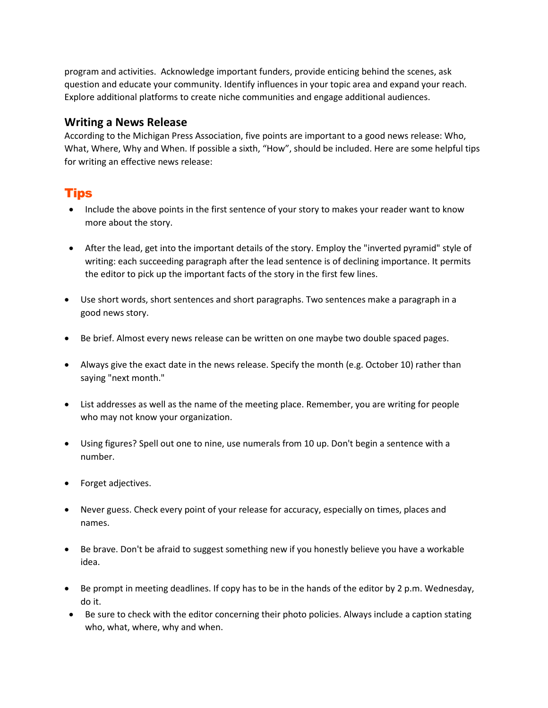program and activities. Acknowledge important funders, provide enticing behind the scenes, ask question and educate your community. Identify influences in your topic area and expand your reach. Explore additional platforms to create niche communities and engage additional audiences.

#### **Writing a News Release**

According to the Michigan Press Association, five points are important to a good news release: Who, What, Where, Why and When. If possible a sixth, "How", should be included. Here are some helpful tips for writing an effective news release:

## Tips

- Include the above points in the first sentence of your story to makes your reader want to know more about the story.
- After the lead, get into the important details of the story. Employ the "inverted pyramid" style of writing: each succeeding paragraph after the lead sentence is of declining importance. It permits the editor to pick up the important facts of the story in the first few lines.
- Use short words, short sentences and short paragraphs. Two sentences make a paragraph in a good news story.
- Be brief. Almost every news release can be written on one maybe two double spaced pages.
- Always give the exact date in the news release. Specify the month (e.g. October 10) rather than saying "next month."
- List addresses as well as the name of the meeting place. Remember, you are writing for people who may not know your organization.
- Using figures? Spell out one to nine, use numerals from 10 up. Don't begin a sentence with a number.
- Forget adjectives.
- Never guess. Check every point of your release for accuracy, especially on times, places and names.
- Be brave. Don't be afraid to suggest something new if you honestly believe you have a workable idea.
- Be prompt in meeting deadlines. If copy has to be in the hands of the editor by 2 p.m. Wednesday, do it.
- Be sure to check with the editor concerning their photo policies. Always include a caption stating who, what, where, why and when.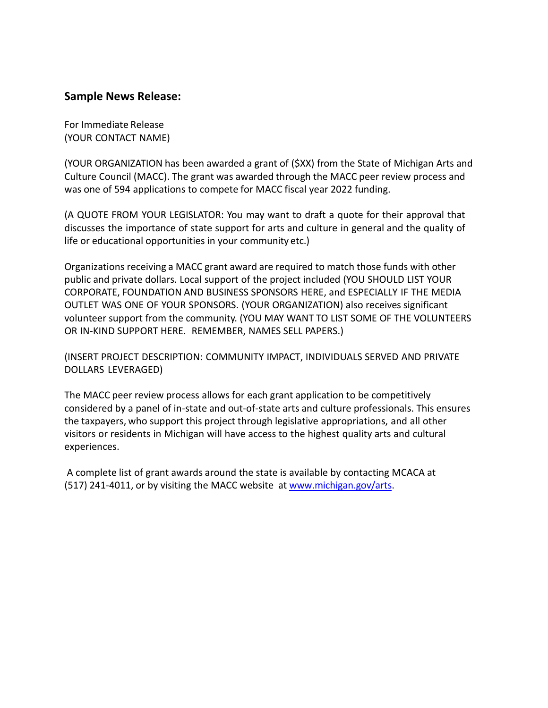#### **Sample News Release:**

For Immediate Release (YOUR CONTACT NAME)

(YOUR ORGANIZATION has been awarded a grant of (\$XX) from the State of Michigan Arts and Culture Council (MACC). The grant was awarded through the MACC peer review process and was one of 594 applications to compete for MACC fiscal year 2022 funding.

(A QUOTE FROM YOUR LEGISLATOR: You may want to draft a quote for their approval that discusses the importance of state support for arts and culture in general and the quality of life or educational opportunities in your community etc.)

Organizations receiving a MACC grant award are required to match those funds with other public and private dollars. Local support of the project included (YOU SHOULD LIST YOUR CORPORATE, FOUNDATION AND BUSINESS SPONSORS HERE, and ESPECIALLY IF THE MEDIA OUTLET WAS ONE OF YOUR SPONSORS. (YOUR ORGANIZATION) also receives significant volunteer support from the community. (YOU MAY WANT TO LIST SOME OF THE VOLUNTEERS OR IN-KIND SUPPORT HERE. REMEMBER, NAMES SELL PAPERS.)

(INSERT PROJECT DESCRIPTION: COMMUNITY IMPACT, INDIVIDUALS SERVED AND PRIVATE DOLLARS LEVERAGED)

The MACC peer review process allows for each grant application to be competitively considered by a panel of in-state and out-of-state arts and culture professionals. This ensures the taxpayers, who support this project through legislative appropriations, and all other visitors or residents in Michigan will have access to the highest quality arts and cultural experiences.

A complete list of grant awards around the state is available by contacting MCACA at (517) 241-4011, or by visiting the MACC website at [www.michigan.gov/arts.](http://www.michigan.gov/arts)